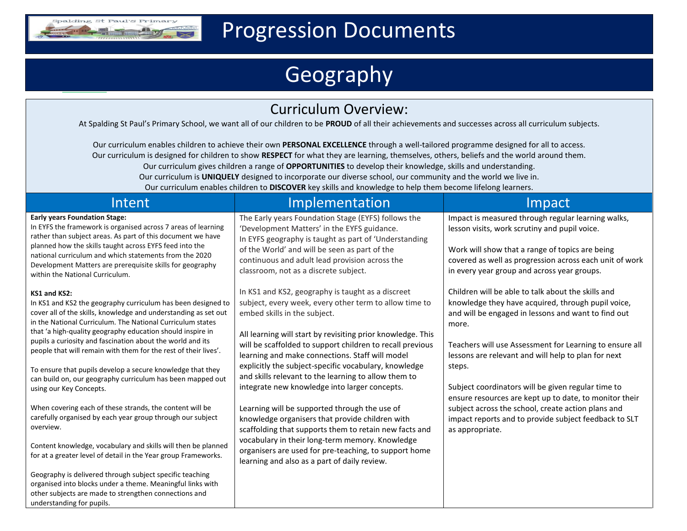

## Progression Documents

## Geography

| <b>Curriculum Overview:</b><br>At Spalding St Paul's Primary School, we want all of our children to be PROUD of all their achievements and successes across all curriculum subjects.                                                                                                                                                                                                                                                                                                                                                                                                                                                                                                                                                                                        |                                                                                                                                                                                                                                                                                                                                                                                                                                                                                                                                                                                                                                                                                                               |                                                                                                                                                                                                                                                                                                                                                                                                                                                                                                                                                        |  |
|-----------------------------------------------------------------------------------------------------------------------------------------------------------------------------------------------------------------------------------------------------------------------------------------------------------------------------------------------------------------------------------------------------------------------------------------------------------------------------------------------------------------------------------------------------------------------------------------------------------------------------------------------------------------------------------------------------------------------------------------------------------------------------|---------------------------------------------------------------------------------------------------------------------------------------------------------------------------------------------------------------------------------------------------------------------------------------------------------------------------------------------------------------------------------------------------------------------------------------------------------------------------------------------------------------------------------------------------------------------------------------------------------------------------------------------------------------------------------------------------------------|--------------------------------------------------------------------------------------------------------------------------------------------------------------------------------------------------------------------------------------------------------------------------------------------------------------------------------------------------------------------------------------------------------------------------------------------------------------------------------------------------------------------------------------------------------|--|
| Our curriculum enables children to achieve their own PERSONAL EXCELLENCE through a well-tailored programme designed for all to access.<br>Our curriculum is designed for children to show RESPECT for what they are learning, themselves, others, beliefs and the world around them.<br>Our curriculum gives children a range of OPPORTUNITIES to develop their knowledge, skills and understanding.<br>Our curriculum is UNIQUELY designed to incorporate our diverse school, our community and the world we live in.<br>Our curriculum enables children to DISCOVER key skills and knowledge to help them become lifelong learners.                                                                                                                                       |                                                                                                                                                                                                                                                                                                                                                                                                                                                                                                                                                                                                                                                                                                               |                                                                                                                                                                                                                                                                                                                                                                                                                                                                                                                                                        |  |
| Intent                                                                                                                                                                                                                                                                                                                                                                                                                                                                                                                                                                                                                                                                                                                                                                      | Implementation                                                                                                                                                                                                                                                                                                                                                                                                                                                                                                                                                                                                                                                                                                | Impact                                                                                                                                                                                                                                                                                                                                                                                                                                                                                                                                                 |  |
| <b>Early years Foundation Stage:</b><br>In EYFS the framework is organised across 7 areas of learning<br>rather than subject areas. As part of this document we have<br>planned how the skills taught across EYFS feed into the<br>national curriculum and which statements from the 2020<br>Development Matters are prerequisite skills for geography<br>within the National Curriculum.                                                                                                                                                                                                                                                                                                                                                                                   | The Early years Foundation Stage (EYFS) follows the<br>'Development Matters' in the EYFS guidance.<br>In EYFS geography is taught as part of 'Understanding<br>of the World' and will be seen as part of the<br>continuous and adult lead provision across the<br>classroom, not as a discrete subject.                                                                                                                                                                                                                                                                                                                                                                                                       | Impact is measured through regular learning walks,<br>lesson visits, work scrutiny and pupil voice.<br>Work will show that a range of topics are being<br>covered as well as progression across each unit of work<br>in every year group and across year groups.                                                                                                                                                                                                                                                                                       |  |
| KS1 and KS2:<br>In KS1 and KS2 the geography curriculum has been designed to<br>cover all of the skills, knowledge and understanding as set out<br>in the National Curriculum. The National Curriculum states<br>that 'a high-quality geography education should inspire in<br>pupils a curiosity and fascination about the world and its<br>people that will remain with them for the rest of their lives'.<br>To ensure that pupils develop a secure knowledge that they<br>can build on, our geography curriculum has been mapped out<br>using our Key Concepts.<br>When covering each of these strands, the content will be<br>carefully organised by each year group through our subject<br>overview.<br>Content knowledge, vocabulary and skills will then be planned | In KS1 and KS2, geography is taught as a discreet<br>subject, every week, every other term to allow time to<br>embed skills in the subject.<br>All learning will start by revisiting prior knowledge. This<br>will be scaffolded to support children to recall previous<br>learning and make connections. Staff will model<br>explicitly the subject-specific vocabulary, knowledge<br>and skills relevant to the learning to allow them to<br>integrate new knowledge into larger concepts.<br>Learning will be supported through the use of<br>knowledge organisers that provide children with<br>scaffolding that supports them to retain new facts and<br>vocabulary in their long-term memory. Knowledge | Children will be able to talk about the skills and<br>knowledge they have acquired, through pupil voice,<br>and will be engaged in lessons and want to find out<br>more.<br>Teachers will use Assessment for Learning to ensure all<br>lessons are relevant and will help to plan for next<br>steps.<br>Subject coordinators will be given regular time to<br>ensure resources are kept up to date, to monitor their<br>subject across the school, create action plans and<br>impact reports and to provide subject feedback to SLT<br>as appropriate. |  |
| for at a greater level of detail in the Year group Frameworks.<br>Geography is delivered through subject specific teaching<br>organised into blocks under a theme. Meaningful links with<br>other subjects are made to strengthen connections and<br>understanding for pupils.                                                                                                                                                                                                                                                                                                                                                                                                                                                                                              | organisers are used for pre-teaching, to support home<br>learning and also as a part of daily review.                                                                                                                                                                                                                                                                                                                                                                                                                                                                                                                                                                                                         |                                                                                                                                                                                                                                                                                                                                                                                                                                                                                                                                                        |  |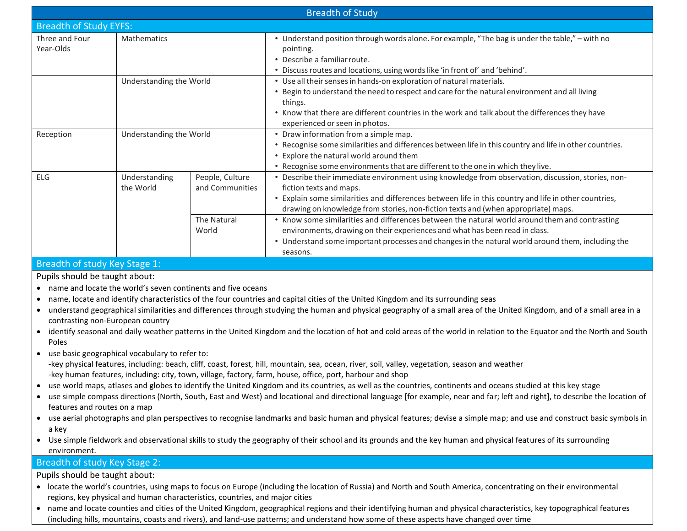| <b>Breadth of Study</b>       |                            |                                    |                                                                                                                                                                                                                                                                                                                             |
|-------------------------------|----------------------------|------------------------------------|-----------------------------------------------------------------------------------------------------------------------------------------------------------------------------------------------------------------------------------------------------------------------------------------------------------------------------|
| <b>Breadth of Study EYFS:</b> |                            |                                    |                                                                                                                                                                                                                                                                                                                             |
| Three and Four<br>Year-Olds   | <b>Mathematics</b>         |                                    | • Understand position through words alone. For example, "The bag is under the table," – with no<br>pointing.<br>• Describe a familiar route.<br>• Discuss routes and locations, using words like 'in front of' and 'behind'.                                                                                                |
|                               | Understanding the World    |                                    | • Use all their senses in hands-on exploration of natural materials.<br>• Begin to understand the need to respect and care for the natural environment and all living<br>things.<br>• Know that there are different countries in the work and talk about the differences they have<br>experienced or seen in photos.        |
| Reception                     | Understanding the World    |                                    | • Draw information from a simple map.<br>Recognise some similarities and differences between life in this country and life in other countries.<br>Explore the natural world around them<br>• Recognise some environments that are different to the one in which they live.                                                  |
| ELG                           | Understanding<br>the World | People, Culture<br>and Communities | • Describe their immediate environment using knowledge from observation, discussion, stories, non-<br>fiction texts and maps.<br>• Explain some similarities and differences between life in this country and life in other countries,<br>drawing on knowledge from stories, non-fiction texts and (when appropriate) maps. |
|                               |                            | The Natural<br>World               | • Know some similarities and differences between the natural world around them and contrasting<br>environments, drawing on their experiences and what has been read in class.<br>• Understand some important processes and changes in the natural world around them, including the<br>seasons.                              |

## Breadth of study Key Stage 1:

Pupils should be taught about:

- name and locate the world's seven continents and five oceans
- name, locate and identify characteristics of the four countries and capital cities of the United Kingdom and its surrounding seas
- understand geographical similarities and differences through studying the human and physical geography of a small area of the United Kingdom, and of a small area in a contrasting non-European country
- identify seasonal and daily weather patterns in the United Kingdom and the location of hot and cold areas of the world in relation to the Equator and the North and South Poles
- use basic geographical vocabulary to refer to: -key physical features, including: beach, cliff, coast, forest, hill, mountain, sea, ocean, river, soil, valley, vegetation, season and weather -key human features, including: city, town, village, factory, farm, house, office, port, harbour and shop
- use world maps, atlases and globes to identify the United Kingdom and its countries, as well as the countries, continents and oceans studied at this key stage
- use simple compass directions (North, South, East and West) and locational and directional language [for example, near and far; left and right], to describe the location of features and routes on a map
- use aerial photographs and plan perspectives to recognise landmarks and basic human and physical features; devise a simple map; and use and construct basic symbols in a key
- Use simple fieldwork and observational skills to study the geography of their school and its grounds and the key human and physical features of its surrounding environment.

## Breadth of study Key Stage 2:

Pupils should be taught about:

- locate the world's countries, using maps to focus on Europe (including the location of Russia) and North and South America, concentrating on their environmental regions, key physical and human characteristics, countries, and major cities
- name and locate counties and cities of the United Kingdom, geographical regions and their identifying human and physical characteristics, key topographical features (including hills, mountains, coasts and rivers), and land-use patterns; and understand how some of these aspects have changed over time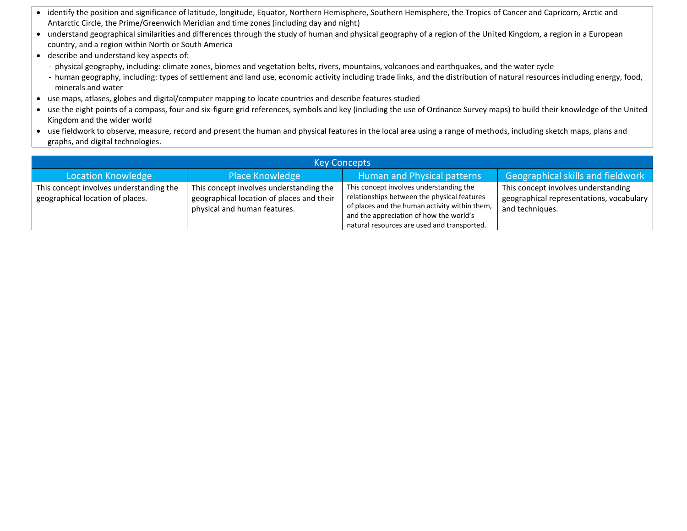- identify the position and significance of latitude, longitude, Equator, Northern Hemisphere, Southern Hemisphere, the Tropics of Cancer and Capricorn, Arctic and Antarctic Circle, the Prime/Greenwich Meridian and time zones (including day and night)
- understand geographical similarities and differences through the study of human and physical geography of a region of the United Kingdom, a region in a European country, and a region within North or South America
- describe and understand key aspects of:
	- physical geography, including: climate zones, biomes and vegetation belts, rivers, mountains, volcanoes and earthquakes, and the water cycle
	- human geography, including: types of settlement and land use, economic activity including trade links, and the distribution of natural resources including energy, food, minerals and water
- use maps, atlases, globes and digital/computer mapping to locate countries and describe features studied
- use the eight points of a compass, four and six-figure grid references, symbols and key (including the use of Ordnance Survey maps) to build their knowledge of the United Kingdom and the wider world
- use fieldwork to observe, measure, record and present the human and physical features in the local area using a range of methods, including sketch maps, plans and graphs, and digital technologies.

| <b>Key Concepts</b>                                                         |                                                                                                                      |                                                                                                                                                                                                                                   |                                                                                                    |
|-----------------------------------------------------------------------------|----------------------------------------------------------------------------------------------------------------------|-----------------------------------------------------------------------------------------------------------------------------------------------------------------------------------------------------------------------------------|----------------------------------------------------------------------------------------------------|
| <b>Location Knowledge</b>                                                   | <b>Place Knowledge</b>                                                                                               | <b>Human and Physical patterns</b>                                                                                                                                                                                                | Geographical skills and fieldwork                                                                  |
| This concept involves understanding the<br>geographical location of places. | This concept involves understanding the<br>geographical location of places and their<br>physical and human features. | This concept involves understanding the<br>relationships between the physical features<br>of places and the human activity within them,<br>and the appreciation of how the world's<br>natural resources are used and transported. | This concept involves understanding<br>geographical representations, vocabulary<br>and techniques. |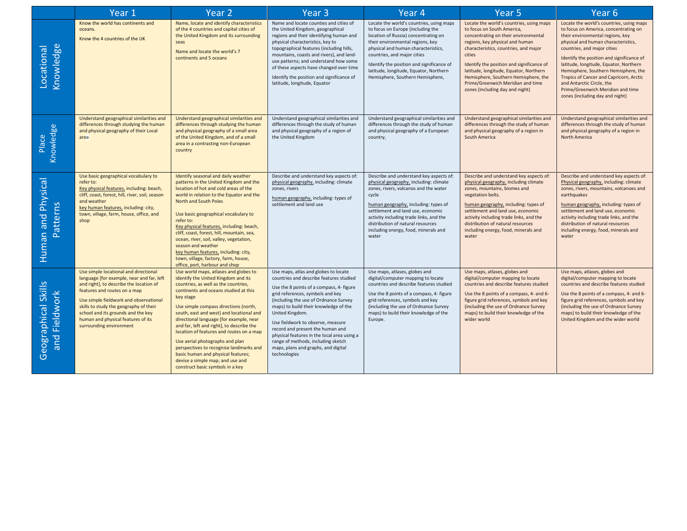|                                         | Year 1                                                                                                                                                                                                                                                                                                                                                   | Year <sub>2</sub>                                                                                                                                                                                                                                                                                                                                                                                                                                                                                                                                                                               | Year <sub>3</sub>                                                                                                                                                                                                                                                                                                                                                                                                                                                                         | Year 4                                                                                                                                                                                                                                                                                                                                                     | Year <sub>5</sub>                                                                                                                                                                                                                                                                                                                                                                                           | Year <sub>6</sub>                                                                                                                                                                                                                                                                                                                                                                                                                                                          |
|-----------------------------------------|----------------------------------------------------------------------------------------------------------------------------------------------------------------------------------------------------------------------------------------------------------------------------------------------------------------------------------------------------------|-------------------------------------------------------------------------------------------------------------------------------------------------------------------------------------------------------------------------------------------------------------------------------------------------------------------------------------------------------------------------------------------------------------------------------------------------------------------------------------------------------------------------------------------------------------------------------------------------|-------------------------------------------------------------------------------------------------------------------------------------------------------------------------------------------------------------------------------------------------------------------------------------------------------------------------------------------------------------------------------------------------------------------------------------------------------------------------------------------|------------------------------------------------------------------------------------------------------------------------------------------------------------------------------------------------------------------------------------------------------------------------------------------------------------------------------------------------------------|-------------------------------------------------------------------------------------------------------------------------------------------------------------------------------------------------------------------------------------------------------------------------------------------------------------------------------------------------------------------------------------------------------------|----------------------------------------------------------------------------------------------------------------------------------------------------------------------------------------------------------------------------------------------------------------------------------------------------------------------------------------------------------------------------------------------------------------------------------------------------------------------------|
| Knowledge<br>Locational                 | Know the world has continents and<br>oceans.<br>Know the 4 countries of the UK                                                                                                                                                                                                                                                                           | Name, locate and identify characteristics<br>of the 4 countries and capital cities of<br>the United Kingdom and its surrounding<br>seas<br>Name and locate the world's 7<br>continents and 5 oceans                                                                                                                                                                                                                                                                                                                                                                                             | Name and locate counties and cities of<br>the United Kingdom, geographical<br>regions and their identifying human and<br>physical characteristics, key to<br>topographical features (including hills,<br>mountains, coasts and rivers), and land-<br>use patterns; and understand how some<br>of these aspects have changed over time<br>Identify the position and significance of<br>latitude, longitude, Equator                                                                        | Locate the world's countries, using maps<br>to focus on Europe (including the<br>location of Russia) concentrating on<br>their environmental regions, key<br>physical and human characteristics,<br>countries, and major cities<br>Identify the position and significance of<br>latitude, longitude, Equator, Northern<br>Hemisphere, Southern Hemisphere, | Locate the world's countries, using maps<br>to focus on South America,<br>concentrating on their environmental<br>regions, key physical and human<br>characteristics, countries, and major<br>cities<br>Identify the position and significance of<br>latitude, longitude, Equator, Northern<br>Hemisphere, Southern Hemisphere, the<br>Prime/Greenwich Meridian and time<br>zones (including day and night) | Locate the world's countries, using maps<br>to focus on America, concentrating on<br>their environmental regions, key<br>physical and human characteristics,<br>countries, and major cities<br>Identify the position and significance of<br>latitude, longitude, Equator, Northern<br>Hemisphere, Southern Hemisphere, the<br>Tropics of Cancer and Capricorn, Arctic<br>and Antarctic Circle, the<br>Prime/Greenwich Meridian and time<br>zones (including day and night) |
| Knowledge<br>Place                      | Understand geographical similarities and<br>differences through studying the human<br>and physical geography of their Local<br>area                                                                                                                                                                                                                      | Understand geographical similarities and<br>differences through studying the human<br>and physical geography of a small area<br>of the United Kingdom, and of a small<br>area in a contrasting non-European<br>country                                                                                                                                                                                                                                                                                                                                                                          | Understand geographical similarities and<br>differences through the study of human<br>and physical geography of a region of<br>the United Kingdom                                                                                                                                                                                                                                                                                                                                         | Understand geographical similarities and<br>differences through the study of human<br>and physical geography of a European<br>country,                                                                                                                                                                                                                     | Understand geographical similarities and<br>differences through the study of human<br>and physical geography of a region in<br>South America                                                                                                                                                                                                                                                                | Understand geographical similarities and<br>differences through the study of human<br>and physical geography of a region in<br>North America                                                                                                                                                                                                                                                                                                                               |
| Human and Physical<br>Patterns          | Use basic geographical vocabulary to<br>refer to:<br>Key physical features, including: beach,<br>cliff, coast, forest, hill, river, soil, season<br>and weather<br>key human features, including: city,<br>town, village, farm, house, office, and<br>shop                                                                                               | Identify seasonal and daily weather<br>patterns in the United Kingdom and the<br>location of hot and cold areas of the<br>world in relation to the Equator and the<br>North and South Poles<br>Use basic geographical vocabulary to<br>refer to:<br>Key physical features, including: beach,<br>cliff, coast, forest, hill, mountain, sea,<br>ocean, river, soil, valley, vegetation,<br>season and weather<br>key human features, including: city,<br>town, village, factory, farm, house,<br>office, port, harbour and shop                                                                   | Describe and understand key aspects of:<br>physical geography, including: climate<br>zones, rivers<br>human geography, including: types of<br>settlement and land use                                                                                                                                                                                                                                                                                                                     | Describe and understand key aspects of:<br>physical geography, including: climate<br>zones, rivers, volcanos and the water<br>cycle<br>human geography, including: types of<br>settlement and land use, economic<br>activity including trade links, and the<br>distribution of natural resources<br>including energy, food, minerals and<br>water          | Describe and understand key aspects of:<br>physical geography, including climate<br>zones, mountains, biomes and<br>vegetation belts.<br>human geography, including: types of<br>settlement and land use, economic<br>activity including trade links, and the<br>distribution of natural resources<br>including energy, food, minerals and<br>water                                                         | Describe and understand key aspects of:<br>Physical geography, including: climate<br>zones, rivers, mountains, volcanoes and<br>earthquakes<br>human geography, including: types of<br>settlement and land use, economic<br>activity including trade links, and the<br>distribution of natural resources<br>including energy, food, minerals and<br>water                                                                                                                  |
| Geographical Skills<br>Fieldwork<br>and | Use simple locational and directional<br>language [for example, near and far, left<br>and right], to describe the location of<br>features and routes on a map<br>Use simple fieldwork and observational<br>skills to study the geography of their<br>school and its grounds and the key<br>human and physical features of its<br>surrounding environment | Use world maps, atlases and globes to<br>identify the United Kingdom and its<br>countries, as well as the countries,<br>continents and oceans studied at this<br>key stage<br>Use simple compass directions (north,<br>south, east and west) and locational and<br>directional language [for example, near<br>and far, left and right], to describe the<br>location of features and routes on a map<br>Use aerial photographs and plan<br>perspectives to recognise landmarks and<br>basic human and physical features;<br>devise a simple map; and use and<br>construct basic symbols in a key | Use maps, atlas and globes to locate<br>countries and describe features studied<br>Use the 8 points of a compass, 4- figure<br>grid references, symbols and key<br>(including the use of Ordnance Survey<br>maps) to build their knowledge of the<br>United Kingdom.<br>Use fieldwork to observe, measure<br>record and present the human and<br>physical features in the local area using a<br>range of methods, including sketch<br>maps, plans and graphs, and digital<br>technologies | Use maps, atlases, globes and<br>digital/computer mapping to locate<br>countries and describe features studied<br>Use the 8 points of a compass, 4- figure<br>grid references, symbols and key<br>(including the use of Ordnance Survey)<br>maps) to build their knowledge of the<br>Europe.                                                               | Use maps, atlases, globes and<br>digital/computer mapping to locate<br>countries and describe features studied<br>Use the 8 points of a compass, 4- and 6-<br>figure grid references, symbols and key<br>(including the use of Ordnance Survey<br>maps) to build their knowledge of the<br>wider world                                                                                                      | Use maps, atlases, globes and<br>digital/computer mapping to locate<br>countries and describe features studied<br>Use the 8 points of a compass, 4- and 6-<br>figure grid references, symbols and key<br>(including the use of Ordnance Survey)<br>maps) to build their knowledge of the<br>United Kingdom and the wider world                                                                                                                                             |